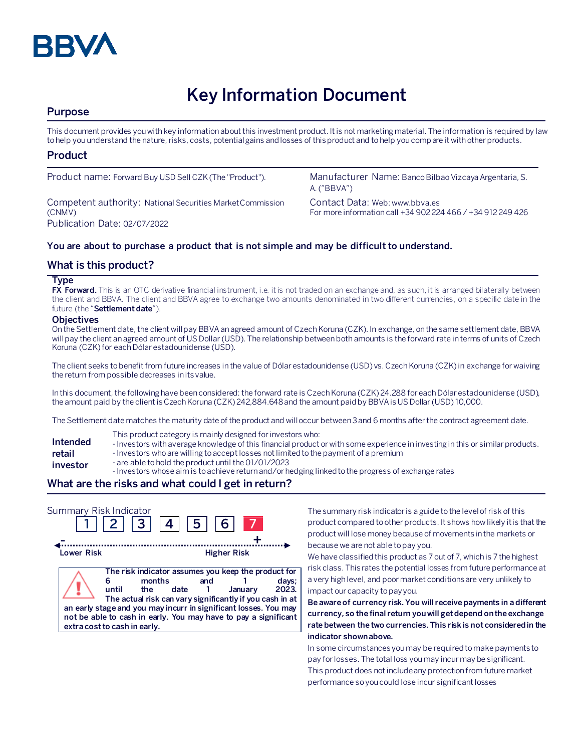

# **Key Information Document**

# **Purpose**

This document provides you with key information about this investment product. It is not marketing material. The information is required by law to help you understand the nature, risks, costs, potential gains and losses of this product and to help you compare it with other products.

## **Product**

Competent authority: National Securities Market Commission (CNMV) Publication Date: 02/07/2022

Product name: Forward Buy USD Sell CZK (The "Product"). Manufacturer Name: Banco Bilbao Vizcaya Argentaria, S. A. ("BBVA")

> Contact Data: Web: www.bbva.es For more information call +34 902 224 466 / +34 912 249 426

## **You are about to purchase a product that is not simple and may be difficult to understand.**

## **What is this product?**

#### **Type**

**FX Forward.** This is an OTC derivative financial instrument, i.e. it is not traded on an exchange and, as such, it is arranged bilaterally between the client and BBVA. The client and BBVA agree to exchange two amounts denominated in two different currencies, on a specific date in the future (the "**Settlement date**").

#### **Objectives**

On the Settlement date, the client will pay BBVA an agreed amount of Czech Koruna (CZK). In exchange, on the same settlement date, BBVA will pay the client an agreed amount of US Dollar (USD). The relationship between both amounts is the forward rate in terms of units of Czech Koruna (CZK) for each Dólar estadounidense (USD).

The client seeks to benefit from future increases in the value of Dólar estadounidense (USD) vs. Czech Koruna (CZK) in exchange for waiving the return from possible decreases in its value.

In this document, the following have been considered: the forward rate is Czech Koruna (CZK) 24.288 for each Dólar estadounidense (USD), the amount paid by the client is Czech Koruna (CZK) 242,884.648 and the amount paid by BBVA is US Dollar (USD) 10,000.

The Settlement date matches the maturity date of the product and will occur between 3 and 6 months after the contract agreement date.

- This product category is mainly designed for investors who:
- **Intended**  - Investors with average knowledge of this financial product or with some experience in investing in this or similar products.
- **retail**  - Investors who are willing to accept losses not limited to the payment of a premium
- **investor** - are able to hold the product until the 01/01/2023
	- Investors whose aim is to achieve return and/or hedging linked to the progress of exchange rates

# **What are the risks and what could I get in return?**

| Summary Risk Indicator       |       | 3  4          |      | 5 <sub>1</sub> | 6 <sup>1</sup>                                                                                                                                                                                                                                                    |                |
|------------------------------|-------|---------------|------|----------------|-------------------------------------------------------------------------------------------------------------------------------------------------------------------------------------------------------------------------------------------------------------------|----------------|
| Lower Risk                   |       |               |      |                | <b>Higher Risk</b>                                                                                                                                                                                                                                                |                |
| extra cost to cash in early. | until | months<br>the | date | and            | The risk indicator assumes you keep the product for<br>January<br>The actual risk can vary significantly if you cash in at<br>an early stage and you may incurr in significant losses. You may<br>not be able to cash in early. You may have to pay a significant | days;<br>2023. |

The summary risk indicator is a guide to the level of risk of this product compared to other products. It shows how likely it is that the product will lose money because of movements in the markets or because we are not able to pay you.

We have classified this product as 7 out of 7, which is 7 the highest risk class. This rates the potential losses from future performance at a very high level, and poor market conditions are very unlikely to impact our capacity to pay you.

**Be aware of currency risk. You will receive payments in a different currency, so the final return you will get depend on the exchange rate between the two currencies. This risk is not considered in the indicator shown above.**

In some circumstances you may be required to make payments to pay for losses. The total loss you may incur may be significant. This product does not include any protection from future market performance so you could lose incur significant losses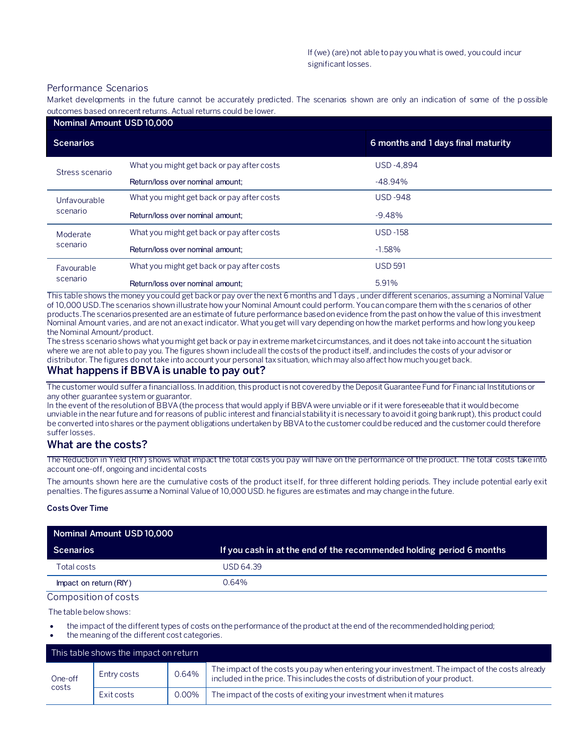#### Performance Scenarios

Market developments in the future cannot be accurately predicted. The scenarios shown are only an indication of some of the p ossible outcomes based on recent returns. Actual returns could be lower.

| Nominal Amount USD 10,000 |                                            |                                    |
|---------------------------|--------------------------------------------|------------------------------------|
| <b>Scenarios</b>          |                                            | 6 months and 1 days final maturity |
| Stress scenario           | What you might get back or pay after costs | <b>USD-4.894</b>                   |
|                           | Return/loss over nominal amount:           | $-48.94%$                          |
| Unfavourable<br>scenario  | What you might get back or pay after costs | <b>USD-948</b>                     |
|                           | Return/loss over nominal amount:           | $-9.48%$                           |
| Moderate<br>scenario      | What you might get back or pay after costs | $USD - 158$                        |
|                           | Return/loss over nominal amount:           | $-1.58%$                           |
| Favourable<br>scenario    | What you might get back or pay after costs | <b>USD 591</b>                     |
|                           | Return/loss over nominal amount:           | 5.91%                              |

This table shows the money you could get back or pay over the next 6 months and 1 days , under different scenarios, assuming a Nominal Value of 10,000 USD.The scenarios shown illustrate how your Nominal Amount could perform. You can compare them with the s cenarios of other products.The scenarios presented are an estimate of future performance based on evidence from the past on how the value of this investment Nominal Amount varies, and are not an exact indicator. What you get will vary depending on how the market performs and how long you keep the Nominal Amount/product.

The stress scenario shows what you might get back or pay in extreme market circumstances, and it does not take into account the situation where we are not able to pay you. The figures shown include all the costs of the product itself, and includes the costs of your advisor or distributor. The figures do not take into account your personal tax situation, which may also affect how much you get back.

## **What happens if BBVA is unable to pay out?**

The customer would suffer a financial loss. In addition, this product is not covered by the Deposit Guarantee Fund for Financial Institutions or any other guarantee system or guarantor.

In the event of the resolution of BBVA (the process that would apply if BBVA were unviable or if it were foreseeable that it would become unviable in the near future and for reasons of public interest and financial stability it is necessary to avoid it going bankrupt), this product could be converted into shares or the payment obligations undertaken by BBVA to the customer could be reduced and the customer could therefore suffer losses.

## **What are the costs?**

The Reduction in Yield (RIY) shows what impact the total costs you pay will have on the performance of the product. The total costs take into account one-off, ongoing and incidental costs

The amounts shown here are the cumulative costs of the product itself, for three different holding periods. They include potential early exit penalties. The figures assume a Nominal Value of 10,000 USD. he figures are estimates and may change in the future.

#### **Costs Over Time**

| Nominal Amount USD 10,000 |                                                                      |
|---------------------------|----------------------------------------------------------------------|
| <b>Scenarios</b>          | If you cash in at the end of the recommended holding period 6 months |
| Total costs               | USD 64.39                                                            |
| Impact on return (RIY)    | 0.64%                                                                |

#### Composition of costs

The table below shows:

- the impact of the different types of costs on the performance of the product at the end of the recommended holding period;
- the meaning of the different cost categories.

| This table shows the impact on return |             |       |                                                                                                                                                                                   |
|---------------------------------------|-------------|-------|-----------------------------------------------------------------------------------------------------------------------------------------------------------------------------------|
| One-off<br>costs                      | Entry costs | 0.64% | The impact of the costs you pay when entering your investment. The impact of the costs already<br>included in the price. This includes the costs of distribution of your product. |
|                                       | Exit costs  | 0.00% | The impact of the costs of exiting your investment when it matures                                                                                                                |